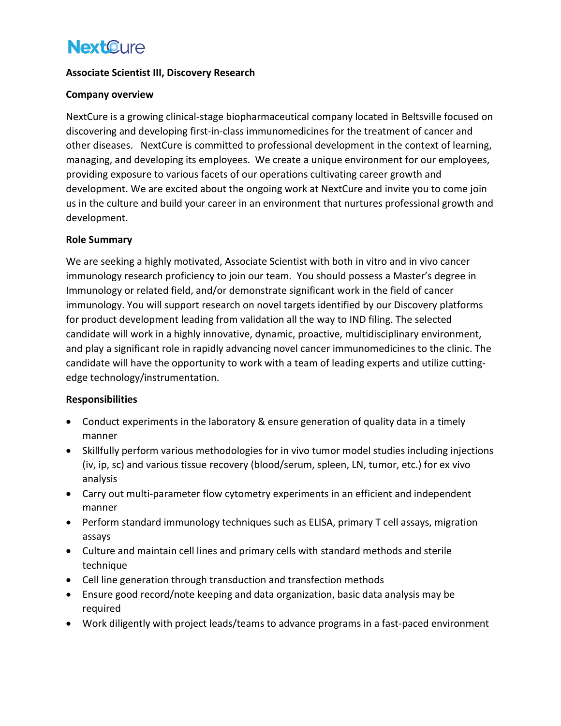# **NextCure**

## Associate Scientist III, Discovery Research

### Company overview

NextCure is a growing clinical-stage biopharmaceutical company located in Beltsville focused on discovering and developing first-in-class immunomedicines for the treatment of cancer and other diseases. NextCure is committed to professional development in the context of learning, managing, and developing its employees. We create a unique environment for our employees, providing exposure to various facets of our operations cultivating career growth and development. We are excited about the ongoing work at NextCure and invite you to come join us in the culture and build your career in an environment that nurtures professional growth and development.

## Role Summary

We are seeking a highly motivated, Associate Scientist with both in vitro and in vivo cancer immunology research proficiency to join our team. You should possess a Master's degree in Immunology or related field, and/or demonstrate significant work in the field of cancer immunology. You will support research on novel targets identified by our Discovery platforms for product development leading from validation all the way to IND filing. The selected candidate will work in a highly innovative, dynamic, proactive, multidisciplinary environment, and play a significant role in rapidly advancing novel cancer immunomedicines to the clinic. The candidate will have the opportunity to work with a team of leading experts and utilize cuttingedge technology/instrumentation.

#### Responsibilities

- Conduct experiments in the laboratory & ensure generation of quality data in a timely manner
- Skillfully perform various methodologies for in vivo tumor model studies including injections (iv, ip, sc) and various tissue recovery (blood/serum, spleen, LN, tumor, etc.) for ex vivo analysis
- Carry out multi-parameter flow cytometry experiments in an efficient and independent manner
- Perform standard immunology techniques such as ELISA, primary T cell assays, migration assays
- Culture and maintain cell lines and primary cells with standard methods and sterile technique
- Cell line generation through transduction and transfection methods
- Ensure good record/note keeping and data organization, basic data analysis may be required
- Work diligently with project leads/teams to advance programs in a fast-paced environment